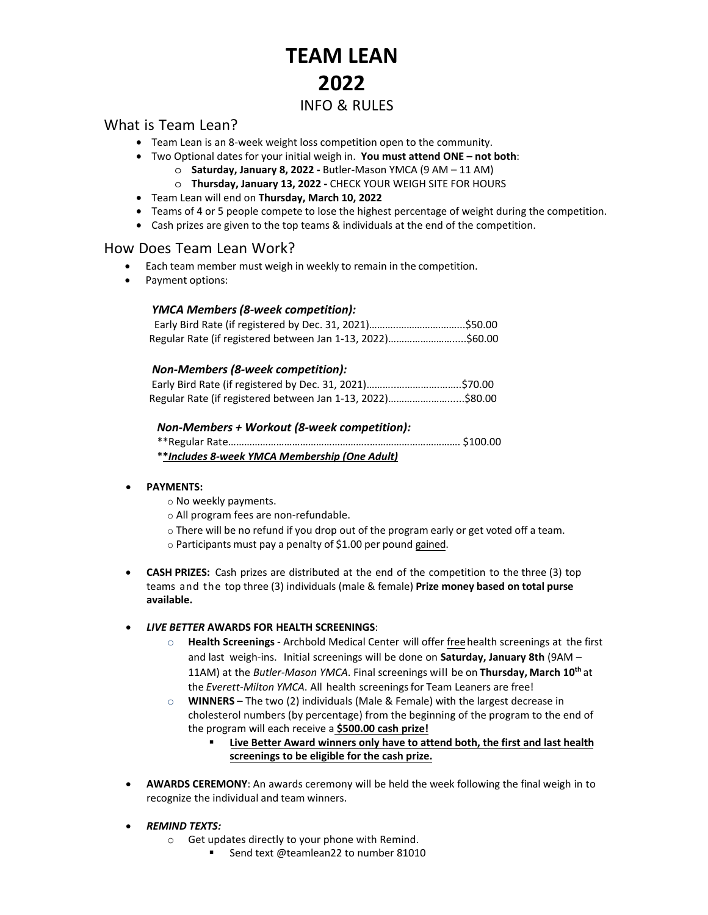# **TEAM LEAN 2022** INFO & RULES

## What is Team Lean?

- Team Lean is an 8-week weight loss competition open to the community.
- Two Optional dates for your initial weigh in. **You must attend ONE not both**:
	- o **Saturday, January 8, 2022** Butler-Mason YMCA (9 AM 11 AM)
	- o **Thursday, January 13, 2022** CHECK YOUR WEIGH SITE FOR HOURS
- Team Lean will end on **Thursday, March 10, 2022**
- Teams of 4 or 5 people compete to lose the highest percentage of weight during the competition.
- Cash prizes are given to the top teams & individuals at the end of the competition.

#### How Does Team Lean Work?

- Each team member must weigh in weekly to remain in the competition.
- Payment options:

#### *YMCA Members (8-week competition):*

| Regular Rate (if registered between Jan 1-13, 2022)\$60.00 |  |
|------------------------------------------------------------|--|

#### *Non-Members (8-week competition):*

| Regular Rate (if registered between Jan 1-13, 2022)\$80.00 |  |
|------------------------------------------------------------|--|

#### *Non-Members + Workout (8-week competition):*

| **Includes 8-week YMCA Membership (One Adult) |  |
|-----------------------------------------------|--|

#### • **PAYMENTS:**

- o No weekly payments.
- o All program fees are non-refundable.
- $\circ$  There will be no refund if you drop out of the program early or get voted off a team.
- o Participants must pay a penalty of \$1.00 per pound gained.
- **CASH PRIZES:** Cash prizes are distributed at the end of the competition to the three (3) top teams and the top three (3) individuals (male & female) **Prize money based on total purse available.**
- *LIVE BETTER* **AWARDS FOR HEALTH SCREENINGS**:
	- o **Health Screenings** Archbold Medical Center will offer freehealth screenings at the first and last weigh-ins. Initial screenings will be done on **Saturday, January 8th** (9AM – 11AM) at the *Butler-Mason YMCA*. Final screenings will be on **Thursday, March 10th** at the *Everett-Milton YMCA*. All health screeningsfor Team Leaners are free!
	- o **WINNERS –** The two (2) individuals (Male & Female) with the largest decrease in cholesterol numbers (by percentage) from the beginning of the program to the end of the program will each receive a **\$500.00 cash prize!**
		- **Live Better Award winners only have to attend both, the first and last health screenings to be eligible for the cash prize.**
- **AWARDS CEREMONY**: An awards ceremony will be held the week following the final weigh in to recognize the individual and team winners.
- *REMIND TEXTS:*
	- o Get updates directly to your phone with Remind.
		- Send text @teamlean22 to number 81010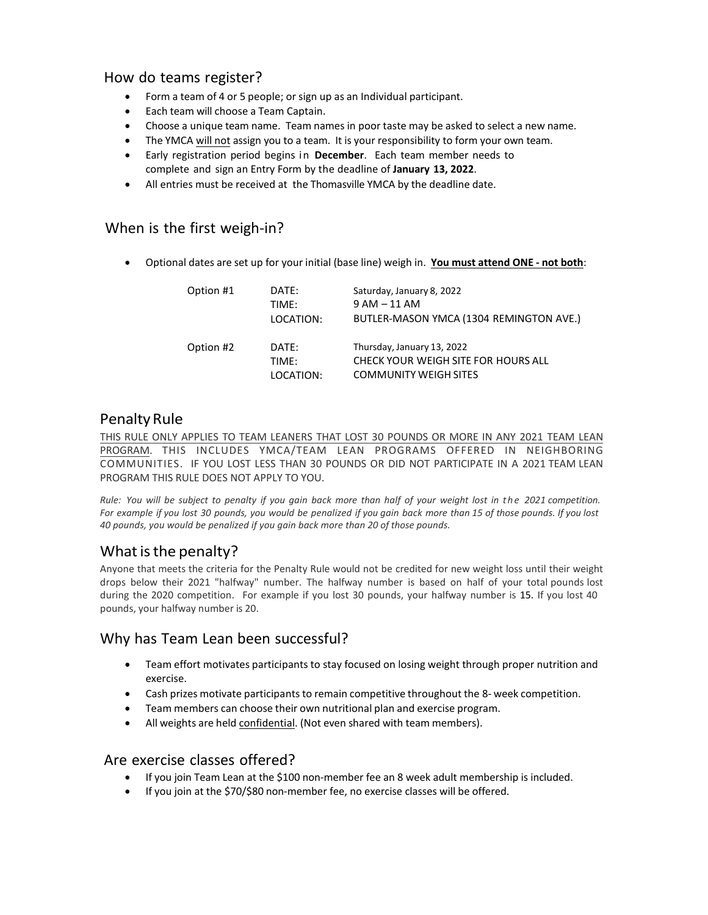## How do teams register?

- Form a team of 4 or 5 people; or sign up as an Individual participant.
- Each team will choose a Team Captain.
- Choose a unique team name. Team names in poor taste may be asked to select a new name.
- The YMCA will not assign you to a team. It is your responsibility to form your own team.
- Early registration period begins in **December**. Each team member needs to complete and sign an Entry Form by the deadline of **January 13, 2022**.
- All entries must be received at the Thomasville YMCA by the deadline date.

## When is the first weigh-in?

• Optional dates are set up for your initial (base line) weigh in. **You must attend ONE - not both**:

| Option #1 | DATE:<br>TIMF:<br>LOCATION: | Saturday, January 8, 2022<br>$9 AM - 11 AM$<br>BUTLER-MASON YMCA (1304 REMINGTON AVE.)            |
|-----------|-----------------------------|---------------------------------------------------------------------------------------------------|
| Option #2 | DATE:<br>TIMF:<br>LOCATION: | Thursday, January 13, 2022<br>CHECK YOUR WEIGH SITE FOR HOURS ALL<br><b>COMMUNITY WEIGH SITES</b> |

## Penalty Rule

THIS RULE ONLY APPLIES TO TEAM LEANERS THAT LOST 30 POUNDS OR MORE IN ANY 2021 TEAM LEAN PROGRAM. THIS INCLUDES YMCA/TEAM LEAN PROGRAMS OFFERED IN NEIGHBORING COMMUNITIES. IF YOU LOST LESS THAN 30 POUNDS OR DID NOT PARTICIPATE IN A 2021 TEAM LEAN PROGRAM THIS RULE DOES NOT APPLY TO YOU.

Rule: You will be subject to penalty if you gain back more than half of your weight lost in the 2021 competition. *For example if you lost 30 pounds, you would be penalized if you gain back more than 15 of those pounds. If you lost 40 pounds, you would be penalized if you gain back more than 20 of those pounds.*

## What is the penalty?

Anyone that meets the criteria for the Penalty Rule would not be credited for new weight loss until their weight drops below their 2021 "halfway" number. The halfway number is based on half of your total pounds lost during the 2020 competition. For example if you lost 30 pounds, your halfway number is 15. If you lost 40 pounds, your halfway number is 20.

## Why has Team Lean been successful?

- Team effort motivates participants to stay focused on losing weight through proper nutrition and exercise.
- Cash prizes motivate participants to remain competitive throughout the 8- week competition.
- Team members can choose their own nutritional plan and exercise program.
- All weights are held confidential. (Not even shared with team members).

#### Are exercise classes offered?

- If you join Team Lean at the \$100 non-member fee an 8 week adult membership is included.
- If you join at the \$70/\$80 non-member fee, no exercise classes will be offered.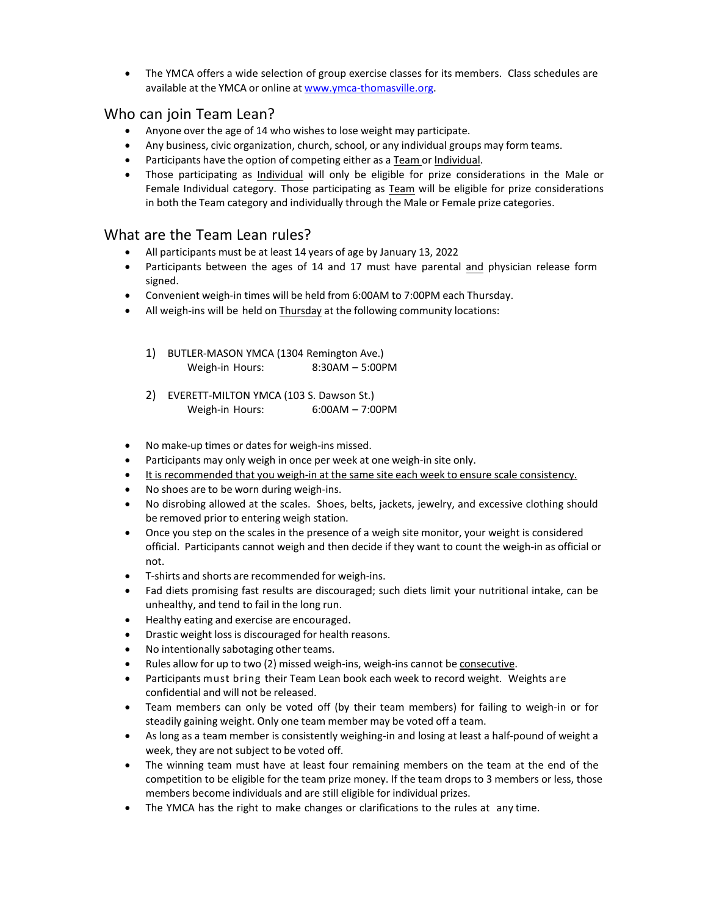• The YMCA offers a wide selection of group exercise classes for its members. Class schedules are available at the YMCA or online at [www.ymca-thomasville.org.](http://www.ymca-thomasville.org/)

## Who can join Team Lean?

- Anyone over the age of 14 who wishesto lose weight may participate.
- Any business, civic organization, church, school, or any individual groups may form teams.
- Participants have the option of competing either as a Team or Individual.
- Those participating as Individual will only be eligible for prize considerations in the Male or Female Individual category. Those participating as Team will be eligible for prize considerations in both the Team category and individually through the Male or Female prize categories.

## What are the Team Lean rules?

- All participants must be at least 14 years of age by January 13, 2022
- Participants between the ages of 14 and 17 must have parental and physician release form signed.
- Convenient weigh-in times will be held from 6:00AM to 7:00PM each Thursday.
- All weigh-ins will be held on Thursday at the following community locations:
	- 1) BUTLER-MASON YMCA (1304 Remington Ave.) Weigh-in Hours: 8:30AM – 5:00PM
	- 2) EVERETT-MILTON YMCA (103 S. Dawson St.) Weigh-in Hours: 6:00AM – 7:00PM
- No make-up times or dates for weigh-ins missed.
- Participants may only weigh in once per week at one weigh-in site only.
- It is recommended that you weigh-in at the same site each week to ensure scale consistency.
- No shoes are to be worn during weigh-ins.
- No disrobing allowed at the scales. Shoes, belts, jackets, jewelry, and excessive clothing should be removed prior to entering weigh station.
- Once you step on the scales in the presence of a weigh site monitor, your weight is considered official. Participants cannot weigh and then decide if they want to count the weigh-in as official or not.
- T-shirts and shorts are recommended for weigh-ins.
- Fad diets promising fast results are discouraged; such diets limit your nutritional intake, can be unhealthy, and tend to fail in the long run.
- Healthy eating and exercise are encouraged.
- Drastic weight lossis discouraged for health reasons.
- No intentionally sabotaging other teams.
- Rules allow for up to two (2) missed weigh-ins, weigh-ins cannot be consecutive.
- Participants must bring their Team Lean book each week to record weight. Weights are confidential and will not be released.
- Team members can only be voted off (by their team members) for failing to weigh-in or for steadily gaining weight. Only one team member may be voted off a team.
- As long as a team member is consistently weighing-in and losing at least a half-pound of weight a week, they are not subject to be voted off.
- The winning team must have at least four remaining members on the team at the end of the competition to be eligible for the team prize money. If the team drops to 3 members or less, those members become individuals and are still eligible for individual prizes.
- The YMCA has the right to make changes or clarifications to the rules at any time.